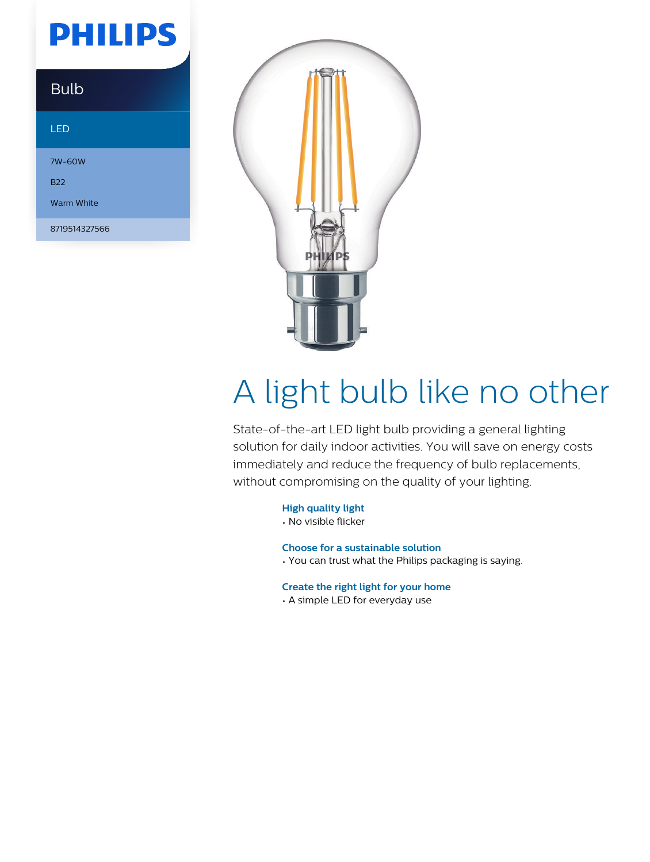## **PHILIPS**

| <u>Bulb</u> |  |
|-------------|--|
|             |  |

#### LED

7W-60W

B22

Warm White

8719514327566



# A light bulb like no other

State-of-the-art LED light bulb providing a general lighting solution for daily indoor activities. You will save on energy costs immediately and reduce the frequency of bulb replacements, without compromising on the quality of your lighting.

**High quality light**

• No visible flicker

**Choose for a sustainable solution**

• You can trust what the Philips packaging is saying.

**Create the right light for your home**

• A simple LED for everyday use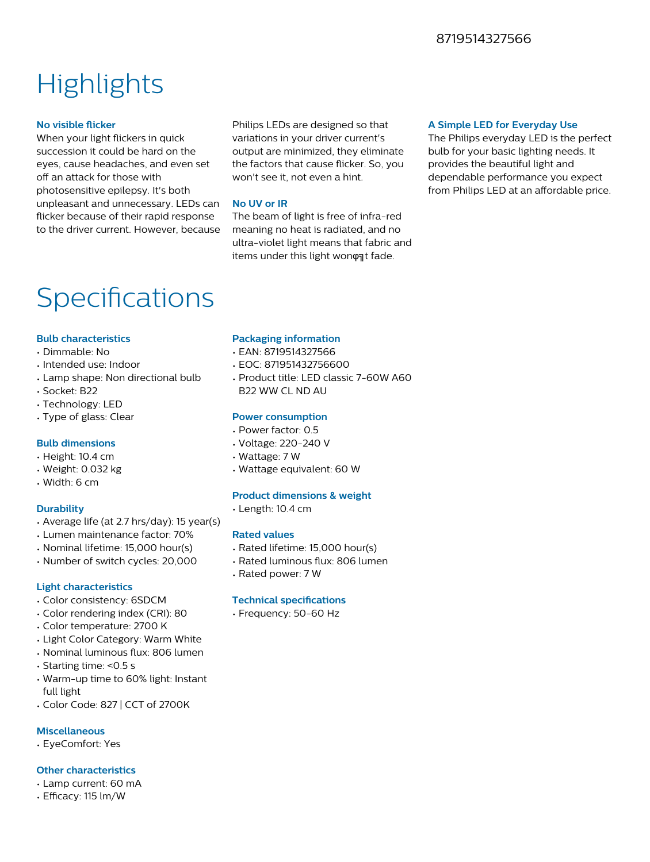#### 8719514327566

### **Highlights**

#### **No visible flicker**

When your light flickers in quick succession it could be hard on the eyes, cause headaches, and even set off an attack for those with photosensitive epilepsy. It's both unpleasant and unnecessary. LEDs can flicker because of their rapid response to the driver current. However, because

Philips LEDs are designed so that variations in your driver current's output are minimized, they eliminate the factors that cause flicker. So, you won't see it, not even a hint.

#### **No UV or IR**

The beam of light is free of infra-red meaning no heat is radiated, and no ultra-violet light means that fabric and items under this light wonφηt fade.

#### **A Simple LED for Everyday Use**

The Philips everyday LED is the perfect bulb for your basic lighting needs. It provides the beautiful light and dependable performance you expect from Philips LED at an affordable price.

### Specifications

#### **Bulb characteristics**

- Dimmable: No
- Intended use: Indoor
- Lamp shape: Non directional bulb
- Socket: B22
- Technology: LED
- Type of glass: Clear

#### **Bulb dimensions**

- Height: 10.4 cm
- Weight: 0.032 kg
- Width: 6 cm

#### **Durability**

- Average life (at 2.7 hrs/day): 15 year(s)
- Lumen maintenance factor: 70%
- Nominal lifetime: 15,000 hour(s)
- Number of switch cycles: 20,000

#### **Light characteristics**

- Color consistency: 6SDCM
- Color rendering index (CRI): 80
- Color temperature: 2700 K
- Light Color Category: Warm White
- Nominal luminous flux: 806 lumen
- Starting time: <0.5 s
- Warm-up time to 60% light: Instant full light
- Color Code: 827 | CCT of 2700K

#### **Miscellaneous**

• EyeComfort: Yes

#### **Other characteristics**

- Lamp current: 60 mA
- Efficacy: 115 lm/W

#### **Packaging information**

- EAN: 8719514327566
- EOC: 871951432756600
- Product title: LED classic 7-60W A60 B22 WW CL ND AU

#### **Power consumption**

- Power factor: 0.5
- Voltage: 220-240 V
- Wattage: 7 W
- Wattage equivalent: 60 W

#### **Product dimensions & weight**

• Length: 10.4 cm

#### **Rated values**

- Rated lifetime: 15,000 hour(s)
- Rated luminous flux: 806 lumen
- Rated power: 7 W

#### **Technical specifications**

• Frequency: 50-60 Hz